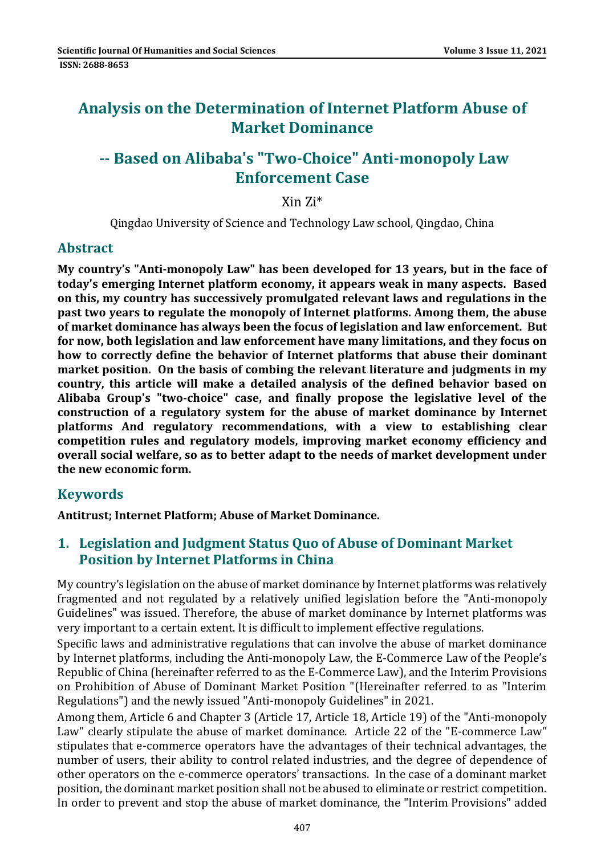# **Analysis on the Determination of Internet Platform Abuse of Market Dominance**

# **-- Based on Alibaba's "Two-Choice" Anti-monopoly Law Enforcement Case**

Xin Zi\*

Qingdao University of Science and Technology Law school, Qingdao, China

### **Abstract**

**My country's "Anti-monopoly Law" has been developed for 13 years, but in the face of today's emerging Internet platform economy, it appears weak in many aspects. Based on this, my country has successively promulgated relevant laws and regulations in the past two years to regulate the monopoly of Internet platforms. Among them, the abuse of market dominance has always been the focus of legislation and law enforcement. But for now, both legislation and law enforcement have many limitations, and they focus on how to correctly define the behavior of Internet platforms that abuse their dominant market position. On the basis of combing the relevant literature and judgments in my country, this article will make a detailed analysis of the defined behavior based on Alibaba Group's "two-choice" case, and finally propose the legislative level of the construction of a regulatory system for the abuse of market dominance by Internet platforms And regulatory recommendations, with a view to establishing clear competition rules and regulatory models, improving market economy efficiency and overall social welfare, so as to better adapt to the needs of market development under the new economic form.**

### **Keywords**

**Antitrust; Internet Platform; Abuse of Market Dominance.**

### **1. Legislation and Judgment Status Quo of Abuse of Dominant Market Position by Internet Platforms in China**

My country's legislation on the abuse of market dominance by Internet platforms was relatively fragmented and not regulated by a relatively unified legislation before the "Anti-monopoly Guidelines" was issued. Therefore, the abuse of market dominance by Internet platforms was very important to a certain extent. It is difficult to implement effective regulations.

Specific laws and administrative regulations that can involve the abuse of market dominance by Internet platforms, including the Anti-monopoly Law, the E-Commerce Law of the People's Republic of China (hereinafter referred to as the E-Commerce Law), and the Interim Provisions on Prohibition of Abuse of Dominant Market Position "(Hereinafter referred to as "Interim Regulations") and the newly issued "Anti-monopoly Guidelines" in 2021.

Among them, Article 6 and Chapter 3 (Article 17, Article 18, Article 19) of the "Anti-monopoly Law" clearly stipulate the abuse of market dominance. Article 22 of the "E-commerce Law" stipulates that e-commerce operators have the advantages of their technical advantages, the number of users, their ability to control related industries, and the degree of dependence of other operators on the e-commerce operators' transactions. In the case of a dominant market position, the dominant market position shall not be abused to eliminate or restrict competition. In order to prevent and stop the abuse of market dominance, the "Interim Provisions" added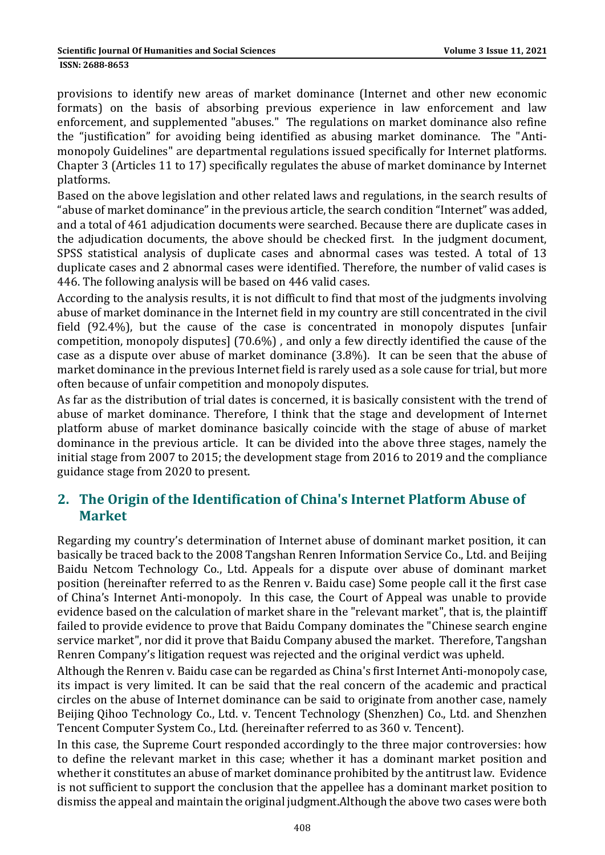provisions to identify new areas of market dominance (Internet and other new economic formats) on the basis of absorbing previous experience in law enforcement and law enforcement, and supplemented "abuses." The regulations on market dominance also refine the "justification" for avoiding being identified as abusing market dominance. The "Antimonopoly Guidelines" are departmental regulations issued specifically for Internet platforms. Chapter 3 (Articles 11 to 17) specifically regulates the abuse of market dominance by Internet platforms.

Based on the above legislation and other related laws and regulations, in the search results of "abuse of market dominance" in the previous article, the search condition "Internet" was added, and a total of 461 adjudication documents were searched. Because there are duplicate cases in the adjudication documents, the above should be checked first. In the judgment document, SPSS statistical analysis of duplicate cases and abnormal cases was tested. A total of 13 duplicate cases and 2 abnormal cases were identified. Therefore, the number of valid cases is 446. The following analysis will be based on 446 valid cases.

According to the analysis results, it is not difficult to find that most of the judgments involving abuse of market dominance in the Internet field in my country are still concentrated in the civil field (92.4%), but the cause of the case is concentrated in monopoly disputes [unfair competition, monopoly disputes] (70.6%) , and only a few directly identified the cause of the case as a dispute over abuse of market dominance (3.8%). It can be seen that the abuse of market dominance in the previous Internet field is rarely used as a sole cause for trial, but more often because of unfair competition and monopoly disputes.

As far as the distribution of trial dates is concerned, it is basically consistent with the trend of abuse of market dominance. Therefore, I think that the stage and development of Internet platform abuse of market dominance basically coincide with the stage of abuse of market dominance in the previous article. It can be divided into the above three stages, namely the initial stage from 2007 to 2015; the development stage from 2016 to 2019 and the compliance guidance stage from 2020 to present.

## **2. The Origin of the Identification of China's Internet Platform Abuse of Market**

Regarding my country's determination of Internet abuse of dominant market position, it can basically be traced back to the 2008 Tangshan Renren Information Service Co., Ltd. and Beijing Baidu Netcom Technology Co., Ltd. Appeals for a dispute over abuse of dominant market position (hereinafter referred to as the Renren v. Baidu case) Some people call it the first case of China's Internet Anti-monopoly. In this case, the Court of Appeal was unable to provide evidence based on the calculation of market share in the "relevant market", that is, the plaintiff failed to provide evidence to prove that Baidu Company dominates the "Chinese search engine service market", nor did it prove that Baidu Company abused the market. Therefore, Tangshan Renren Company's litigation request was rejected and the original verdict was upheld.

Although the Renren v. Baidu case can be regarded as China's first Internet Anti-monopoly case, its impact is very limited. It can be said that the real concern of the academic and practical circles on the abuse of Internet dominance can be said to originate from another case, namely Beijing Qihoo Technology Co., Ltd. v. Tencent Technology (Shenzhen) Co., Ltd. and Shenzhen Tencent Computer System Co., Ltd. (hereinafter referred to as 360 v. Tencent).

In this case, the Supreme Court responded accordingly to the three major controversies: how to define the relevant market in this case; whether it has a dominant market position and whether it constitutes an abuse of market dominance prohibited by the antitrust law. Evidence is not sufficient to support the conclusion that the appellee has a dominant market position to dismiss the appeal and maintain the original judgment.Although the above two cases were both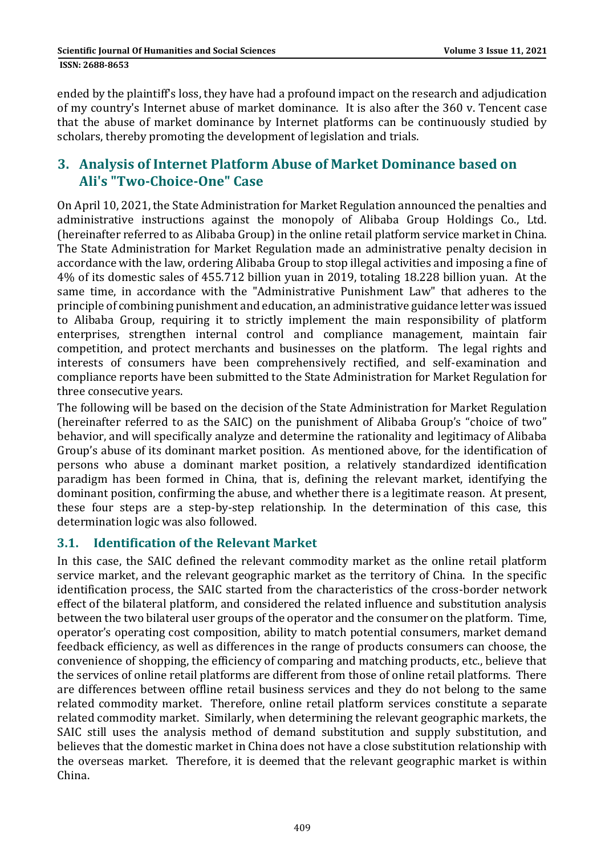ended by the plaintiff's loss, they have had a profound impact on the research and adjudication of my country's Internet abuse of market dominance. It is also after the 360 v. Tencent case that the abuse of market dominance by Internet platforms can be continuously studied by scholars, thereby promoting the development of legislation and trials.

### **3. Analysis of Internet Platform Abuse of Market Dominance based on Ali's "Two-Choice-One" Case**

On April 10, 2021, the State Administration for Market Regulation announced the penalties and administrative instructions against the monopoly of Alibaba Group Holdings Co., Ltd. (hereinafter referred to as Alibaba Group) in the online retail platform service market in China. The State Administration for Market Regulation made an administrative penalty decision in accordance with the law, ordering Alibaba Group to stop illegal activities and imposing a fine of 4% of its domestic sales of 455.712 billion yuan in 2019, totaling 18.228 billion yuan. At the same time, in accordance with the "Administrative Punishment Law" that adheres to the principle of combining punishment and education, an administrative guidance letter was issued to Alibaba Group, requiring it to strictly implement the main responsibility of platform enterprises, strengthen internal control and compliance management, maintain fair competition, and protect merchants and businesses on the platform. The legal rights and interests of consumers have been comprehensively rectified, and self-examination and compliance reports have been submitted to the State Administration for Market Regulation for three consecutive years.

The following will be based on the decision of the State Administration for Market Regulation (hereinafter referred to as the SAIC) on the punishment of Alibaba Group's "choice of two" behavior, and will specifically analyze and determine the rationality and legitimacy of Alibaba Group's abuse of its dominant market position. As mentioned above, for the identification of persons who abuse a dominant market position, a relatively standardized identification paradigm has been formed in China, that is, defining the relevant market, identifying the dominant position, confirming the abuse, and whether there is a legitimate reason. At present, these four steps are a step-by-step relationship. In the determination of this case, this determination logic was also followed.

#### **3.1. Identification of the Relevant Market**

In this case, the SAIC defined the relevant commodity market as the online retail platform service market, and the relevant geographic market as the territory of China. In the specific identification process, the SAIC started from the characteristics of the cross-border network effect of the bilateral platform, and considered the related influence and substitution analysis between the two bilateral user groups of the operator and the consumer on the platform. Time, operator's operating cost composition, ability to match potential consumers, market demand feedback efficiency, as well as differences in the range of products consumers can choose, the convenience of shopping, the efficiency of comparing and matching products, etc., believe that the services of online retail platforms are different from those of online retail platforms. There are differences between offline retail business services and they do not belong to the same related commodity market. Therefore, online retail platform services constitute a separate related commodity market. Similarly, when determining the relevant geographic markets, the SAIC still uses the analysis method of demand substitution and supply substitution, and believes that the domestic market in China does not have a close substitution relationship with the overseas market. Therefore, it is deemed that the relevant geographic market is within China.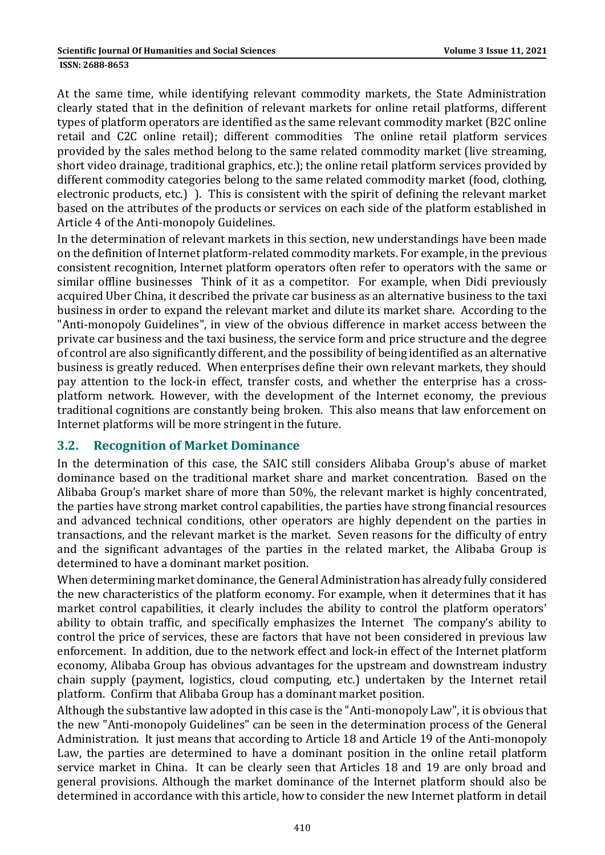#### **ISSN: 2688-8653**

At the same time, while identifying relevant commodity markets, the State Administration clearly stated that in the definition of relevant markets for online retail platforms, different types of platform operators are identified as the same relevant commodity market (B2C online retail and C2C online retail); different commodities The online retail platform services provided by the sales method belong to the same related commodity market (live streaming, short video drainage, traditional graphics, etc.); the online retail platform services provided by different commodity categories belong to the same related commodity market (food, clothing, electronic products, etc.) ). This is consistent with the spirit of defining the relevant market based on the attributes of the products or services on each side of the platform established in Article 4 of the Anti-monopoly Guidelines.

In the determination of relevant markets in this section, new understandings have been made on the definition of Internet platform-related commodity markets. For example, in the previous consistent recognition, Internet platform operators often refer to operators with the same or similar offline businesses Think of it as a competitor. For example, when Didi previously acquired Uber China, it described the private car business as an alternative business to the taxi business in order to expand the relevant market and dilute its market share. According to the "Anti-monopoly Guidelines", in view of the obvious difference in market access between the private car business and the taxi business, the service form and price structure and the degree of control are also significantly different, and the possibility of being identified as an alternative business is greatly reduced. When enterprises define their own relevant markets, they should pay attention to the lock-in effect, transfer costs, and whether the enterprise has a crossplatform network. However, with the development of the Internet economy, the previous traditional cognitions are constantly being broken. This also means that law enforcement on Internet platforms will be more stringent in the future.

#### **3.2. Recognition of Market Dominance**

In the determination of this case, the SAIC still considers Alibaba Group's abuse of market dominance based on the traditional market share and market concentration. Based on the Alibaba Group's market share of more than 50%, the relevant market is highly concentrated, the parties have strong market control capabilities, the parties have strong financial resources and advanced technical conditions, other operators are highly dependent on the parties in transactions, and the relevant market is the market. Seven reasons for the difficulty of entry and the significant advantages of the parties in the related market, the Alibaba Group is determined to have a dominant market position.

When determining market dominance, the General Administration has already fully considered the new characteristics of the platform economy. For example, when it determines that it has market control capabilities, it clearly includes the ability to control the platform operators' ability to obtain traffic, and specifically emphasizes the Internet The company's ability to control the price of services, these are factors that have not been considered in previous law enforcement. In addition, due to the network effect and lock-in effect of the Internet platform economy, Alibaba Group has obvious advantages for the upstream and downstream industry chain supply (payment, logistics, cloud computing, etc.) undertaken by the Internet retail platform. Confirm that Alibaba Group has a dominant market position.

Although the substantive law adopted in this case is the "Anti-monopoly Law", it is obvious that the new "Anti-monopoly Guidelines" can be seen in the determination process of the General Administration. It just means that according to Article 18 and Article 19 of the Anti-monopoly Law, the parties are determined to have a dominant position in the online retail platform service market in China. It can be clearly seen that Articles 18 and 19 are only broad and general provisions. Although the market dominance of the Internet platform should also be determined in accordance with this article, how to consider the new Internet platform in detail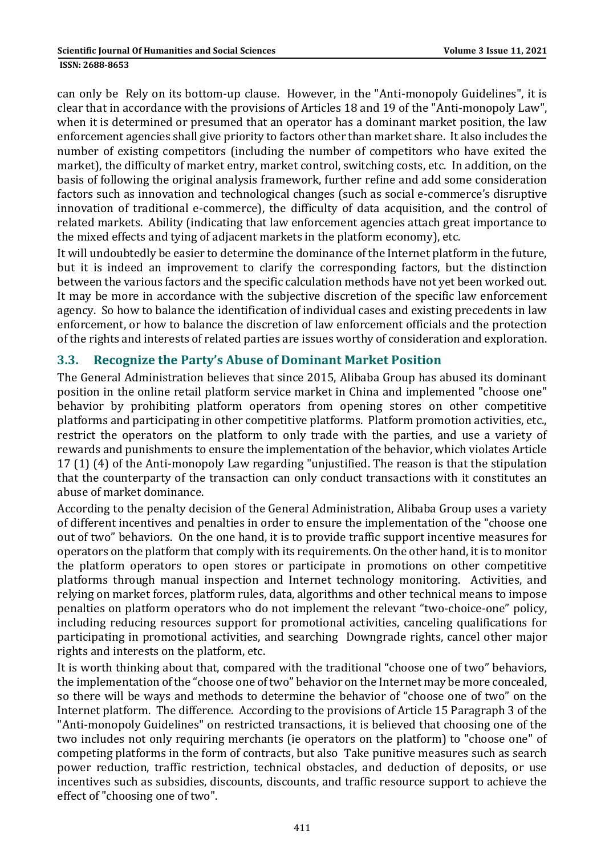#### **ISSN: 2688-8653**

can only be Rely on its bottom-up clause. However, in the "Anti-monopoly Guidelines", it is clear that in accordance with the provisions of Articles 18 and 19 of the "Anti-monopoly Law", when it is determined or presumed that an operator has a dominant market position, the law enforcement agencies shall give priority to factors other than market share. It also includes the number of existing competitors (including the number of competitors who have exited the market), the difficulty of market entry, market control, switching costs, etc. In addition, on the basis of following the original analysis framework, further refine and add some consideration factors such as innovation and technological changes (such as social e-commerce's disruptive innovation of traditional e-commerce), the difficulty of data acquisition, and the control of related markets. Ability (indicating that law enforcement agencies attach great importance to the mixed effects and tying of adjacent markets in the platform economy), etc.

It will undoubtedly be easier to determine the dominance of the Internet platform in the future, but it is indeed an improvement to clarify the corresponding factors, but the distinction between the various factors and the specific calculation methods have not yet been worked out. It may be more in accordance with the subjective discretion of the specific law enforcement agency. So how to balance the identification of individual cases and existing precedents in law enforcement, or how to balance the discretion of law enforcement officials and the protection of the rights and interests of related parties are issues worthy of consideration and exploration.

#### **3.3. Recognize the Party's Abuse of Dominant Market Position**

The General Administration believes that since 2015, Alibaba Group has abused its dominant position in the online retail platform service market in China and implemented "choose one" behavior by prohibiting platform operators from opening stores on other competitive platforms and participating in other competitive platforms. Platform promotion activities, etc., restrict the operators on the platform to only trade with the parties, and use a variety of rewards and punishments to ensure the implementation of the behavior, which violates Article 17 (1) (4) of the Anti-monopoly Law regarding "unjustified. The reason is that the stipulation that the counterparty of the transaction can only conduct transactions with it constitutes an abuse of market dominance.

According to the penalty decision of the General Administration, Alibaba Group uses a variety of different incentives and penalties in order to ensure the implementation of the "choose one out of two" behaviors. On the one hand, it is to provide traffic support incentive measures for operators on the platform that comply with its requirements. On the other hand, it is to monitor the platform operators to open stores or participate in promotions on other competitive platforms through manual inspection and Internet technology monitoring. Activities, and relying on market forces, platform rules, data, algorithms and other technical means to impose penalties on platform operators who do not implement the relevant "two-choice-one" policy, including reducing resources support for promotional activities, canceling qualifications for participating in promotional activities, and searching Downgrade rights, cancel other major rights and interests on the platform, etc.

It is worth thinking about that, compared with the traditional "choose one of two" behaviors, the implementation of the "choose one of two" behavior on the Internet may be more concealed, so there will be ways and methods to determine the behavior of "choose one of two" on the Internet platform. The difference. According to the provisions of Article 15 Paragraph 3 of the "Anti-monopoly Guidelines" on restricted transactions, it is believed that choosing one of the two includes not only requiring merchants (ie operators on the platform) to "choose one" of competing platforms in the form of contracts, but also Take punitive measures such as search power reduction, traffic restriction, technical obstacles, and deduction of deposits, or use incentives such as subsidies, discounts, discounts, and traffic resource support to achieve the effect of "choosing one of two".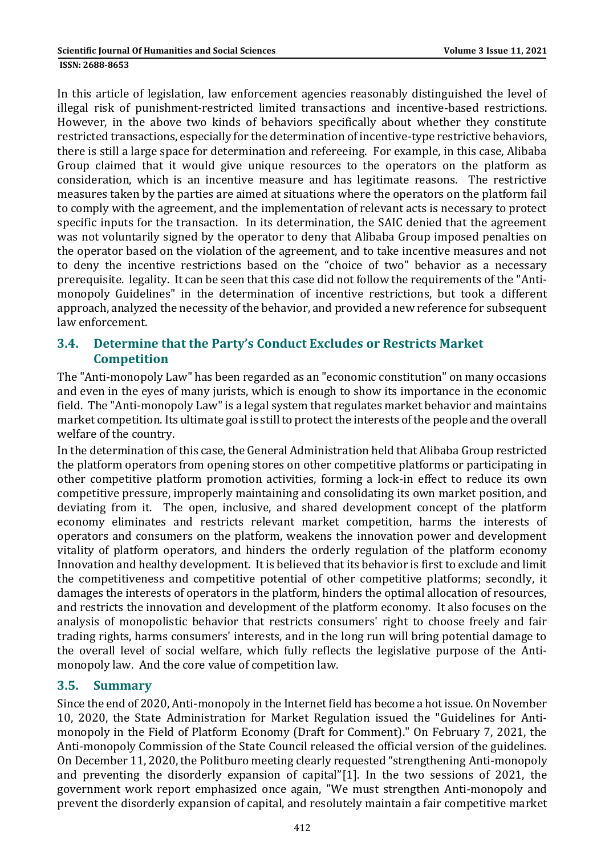In this article of legislation, law enforcement agencies reasonably distinguished the level of illegal risk of punishment-restricted limited transactions and incentive-based restrictions. However, in the above two kinds of behaviors specifically about whether they constitute restricted transactions, especially for the determination of incentive-type restrictive behaviors, there is still a large space for determination and refereeing. For example, in this case, Alibaba Group claimed that it would give unique resources to the operators on the platform as consideration, which is an incentive measure and has legitimate reasons. The restrictive measures taken by the parties are aimed at situations where the operators on the platform fail to comply with the agreement, and the implementation of relevant acts is necessary to protect specific inputs for the transaction. In its determination, the SAIC denied that the agreement was not voluntarily signed by the operator to deny that Alibaba Group imposed penalties on the operator based on the violation of the agreement, and to take incentive measures and not to deny the incentive restrictions based on the "choice of two" behavior as a necessary prerequisite. legality. It can be seen that this case did not follow the requirements of the "Antimonopoly Guidelines" in the determination of incentive restrictions, but took a different approach, analyzed the necessity of the behavior, and provided a new reference for subsequent law enforcement.

### **3.4. Determine that the Party's Conduct Excludes or Restricts Market Competition**

The "Anti-monopoly Law" has been regarded as an "economic constitution" on many occasions and even in the eyes of many jurists, which is enough to show its importance in the economic field. The "Anti-monopoly Law" is a legal system that regulates market behavior and maintains market competition. Its ultimate goal is still to protect the interests of the people and the overall welfare of the country.

In the determination of this case, the General Administration held that Alibaba Group restricted the platform operators from opening stores on other competitive platforms or participating in other competitive platform promotion activities, forming a lock-in effect to reduce its own competitive pressure, improperly maintaining and consolidating its own market position, and deviating from it. The open, inclusive, and shared development concept of the platform economy eliminates and restricts relevant market competition, harms the interests of operators and consumers on the platform, weakens the innovation power and development vitality of platform operators, and hinders the orderly regulation of the platform economy Innovation and healthy development. It is believed that its behavior is first to exclude and limit the competitiveness and competitive potential of other competitive platforms; secondly, it damages the interests of operators in the platform, hinders the optimal allocation of resources, and restricts the innovation and development of the platform economy. It also focuses on the analysis of monopolistic behavior that restricts consumers' right to choose freely and fair trading rights, harms consumers' interests, and in the long run will bring potential damage to the overall level of social welfare, which fully reflects the legislative purpose of the Antimonopoly law. And the core value of competition law.

#### **3.5. Summary**

Since the end of 2020, Anti-monopoly in the Internet field has become a hot issue. On November 10, 2020, the State Administration for Market Regulation issued the "Guidelines for Antimonopoly in the Field of Platform Economy (Draft for Comment)." On February 7, 2021, the Anti-monopoly Commission of the State Council released the official version of the guidelines. On December 11, 2020, the Politburo meeting clearly requested "strengthening Anti-monopoly and preventing the disorderly expansion of capital"[1]. In the two sessions of 2021, the government work report emphasized once again, "We must strengthen Anti-monopoly and prevent the disorderly expansion of capital, and resolutely maintain a fair competitive market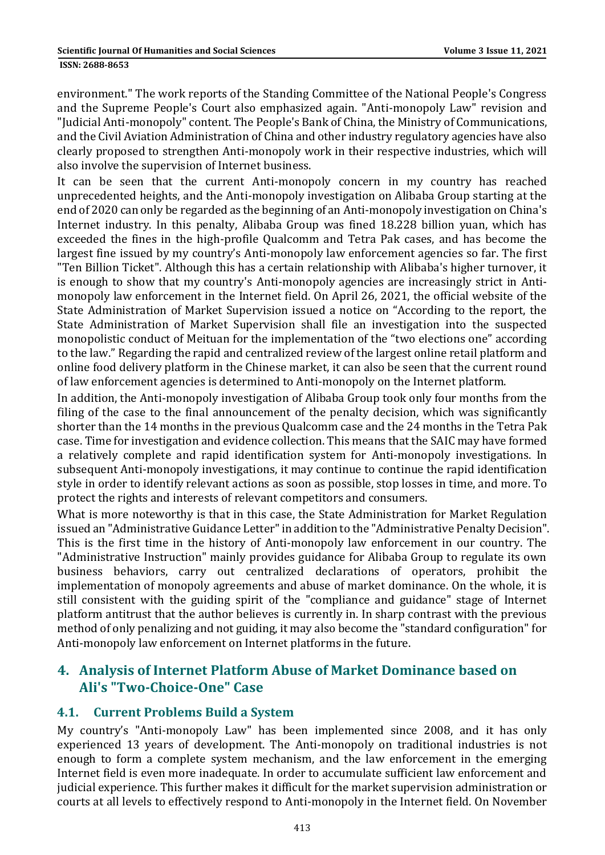environment." The work reports of the Standing Committee of the National People's Congress and the Supreme People's Court also emphasized again. "Anti-monopoly Law" revision and "Judicial Anti-monopoly" content. The People's Bank of China, the Ministry of Communications, and the Civil Aviation Administration of China and other industry regulatory agencies have also clearly proposed to strengthen Anti-monopoly work in their respective industries, which will also involve the supervision of Internet business.

It can be seen that the current Anti-monopoly concern in my country has reached unprecedented heights, and the Anti-monopoly investigation on Alibaba Group starting at the end of 2020 can only be regarded as the beginning of an Anti-monopoly investigation on China's Internet industry. In this penalty, Alibaba Group was fined 18.228 billion yuan, which has exceeded the fines in the high-profile Qualcomm and Tetra Pak cases, and has become the largest fine issued by my country's Anti-monopoly law enforcement agencies so far. The first "Ten Billion Ticket". Although this has a certain relationship with Alibaba's higher turnover, it is enough to show that my country's Anti-monopoly agencies are increasingly strict in Antimonopoly law enforcement in the Internet field. On April 26, 2021, the official website of the State Administration of Market Supervision issued a notice on "According to the report, the State Administration of Market Supervision shall file an investigation into the suspected monopolistic conduct of Meituan for the implementation of the "two elections one" according to the law." Regarding the rapid and centralized review of the largest online retail platform and online food delivery platform in the Chinese market, it can also be seen that the current round of law enforcement agencies is determined to Anti-monopoly on the Internet platform.

In addition, the Anti-monopoly investigation of Alibaba Group took only four months from the filing of the case to the final announcement of the penalty decision, which was significantly shorter than the 14 months in the previous Qualcomm case and the 24 months in the Tetra Pak case. Time for investigation and evidence collection. This means that the SAIC may have formed a relatively complete and rapid identification system for Anti-monopoly investigations. In subsequent Anti-monopoly investigations, it may continue to continue the rapid identification style in order to identify relevant actions as soon as possible, stop losses in time, and more. To protect the rights and interests of relevant competitors and consumers.

What is more noteworthy is that in this case, the State Administration for Market Regulation issued an "Administrative Guidance Letter" in addition to the "Administrative Penalty Decision". This is the first time in the history of Anti-monopoly law enforcement in our country. The "Administrative Instruction" mainly provides guidance for Alibaba Group to regulate its own business behaviors, carry out centralized declarations of operators, prohibit the implementation of monopoly agreements and abuse of market dominance. On the whole, it is still consistent with the guiding spirit of the "compliance and guidance" stage of Internet platform antitrust that the author believes is currently in. In sharp contrast with the previous method of only penalizing and not guiding, it may also become the "standard configuration" for Anti-monopoly law enforcement on Internet platforms in the future.

### **4. Analysis of Internet Platform Abuse of Market Dominance based on Ali's "Two-Choice-One" Case**

#### **4.1. Current Problems Build a System**

My country's "Anti-monopoly Law" has been implemented since 2008, and it has only experienced 13 years of development. The Anti-monopoly on traditional industries is not enough to form a complete system mechanism, and the law enforcement in the emerging Internet field is even more inadequate. In order to accumulate sufficient law enforcement and judicial experience. This further makes it difficult for the market supervision administration or courts at all levels to effectively respond to Anti-monopoly in the Internet field. On November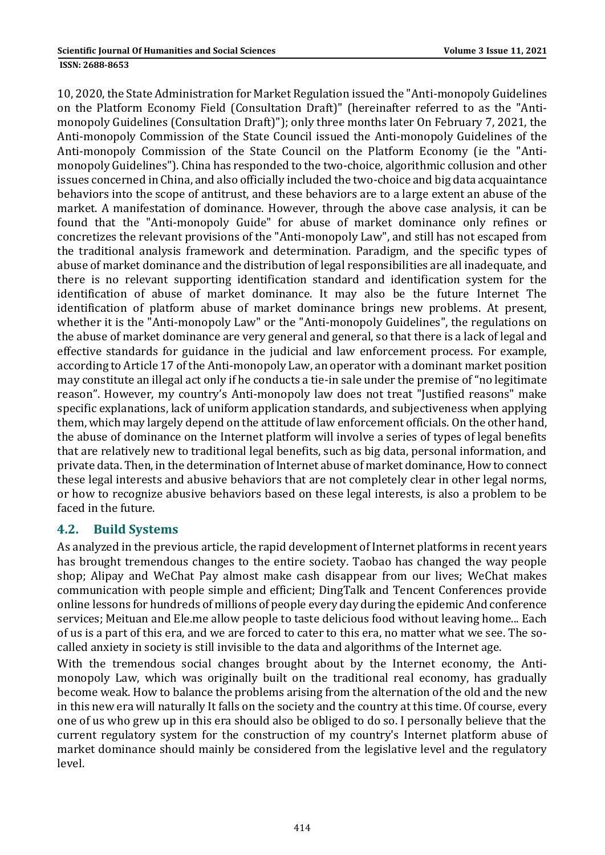10, 2020, the State Administration for Market Regulation issued the "Anti-monopoly Guidelines on the Platform Economy Field (Consultation Draft)" (hereinafter referred to as the "Antimonopoly Guidelines (Consultation Draft)"); only three months later On February 7, 2021, the Anti-monopoly Commission of the State Council issued the Anti-monopoly Guidelines of the Anti-monopoly Commission of the State Council on the Platform Economy (ie the "Antimonopoly Guidelines"). China has responded to the two-choice, algorithmic collusion and other issues concerned in China, and also officially included the two-choice and big data acquaintance behaviors into the scope of antitrust, and these behaviors are to a large extent an abuse of the market. A manifestation of dominance. However, through the above case analysis, it can be found that the "Anti-monopoly Guide" for abuse of market dominance only refines or concretizes the relevant provisions of the "Anti-monopoly Law", and still has not escaped from the traditional analysis framework and determination. Paradigm, and the specific types of abuse of market dominance and the distribution of legal responsibilities are all inadequate, and there is no relevant supporting identification standard and identification system for the identification of abuse of market dominance. It may also be the future Internet The identification of platform abuse of market dominance brings new problems. At present, whether it is the "Anti-monopoly Law" or the "Anti-monopoly Guidelines", the regulations on the abuse of market dominance are very general and general, so that there is a lack of legal and effective standards for guidance in the judicial and law enforcement process. For example, according to Article 17 of the Anti-monopoly Law, an operator with a dominant market position may constitute an illegal act only if he conducts a tie-in sale under the premise of "no legitimate reason". However, my country's Anti-monopoly law does not treat "Justified reasons" make specific explanations, lack of uniform application standards, and subjectiveness when applying them, which may largely depend on the attitude of law enforcement officials. On the other hand, the abuse of dominance on the Internet platform will involve a series of types of legal benefits that are relatively new to traditional legal benefits, such as big data, personal information, and private data. Then, in the determination of Internet abuse of market dominance, How to connect these legal interests and abusive behaviors that are not completely clear in other legal norms, or how to recognize abusive behaviors based on these legal interests, is also a problem to be faced in the future.

#### **4.2. Build Systems**

As analyzed in the previous article, the rapid development of Internet platforms in recent years has brought tremendous changes to the entire society. Taobao has changed the way people shop; Alipay and WeChat Pay almost make cash disappear from our lives; WeChat makes communication with people simple and efficient; DingTalk and Tencent Conferences provide online lessons for hundreds of millions of people every day during the epidemic And conference services; Meituan and Ele.me allow people to taste delicious food without leaving home... Each of us is a part of this era, and we are forced to cater to this era, no matter what we see. The socalled anxiety in society is still invisible to the data and algorithms of the Internet age.

With the tremendous social changes brought about by the Internet economy, the Antimonopoly Law, which was originally built on the traditional real economy, has gradually become weak. How to balance the problems arising from the alternation of the old and the new in this new era will naturally It falls on the society and the country at this time. Of course, every one of us who grew up in this era should also be obliged to do so. I personally believe that the current regulatory system for the construction of my country's Internet platform abuse of market dominance should mainly be considered from the legislative level and the regulatory level.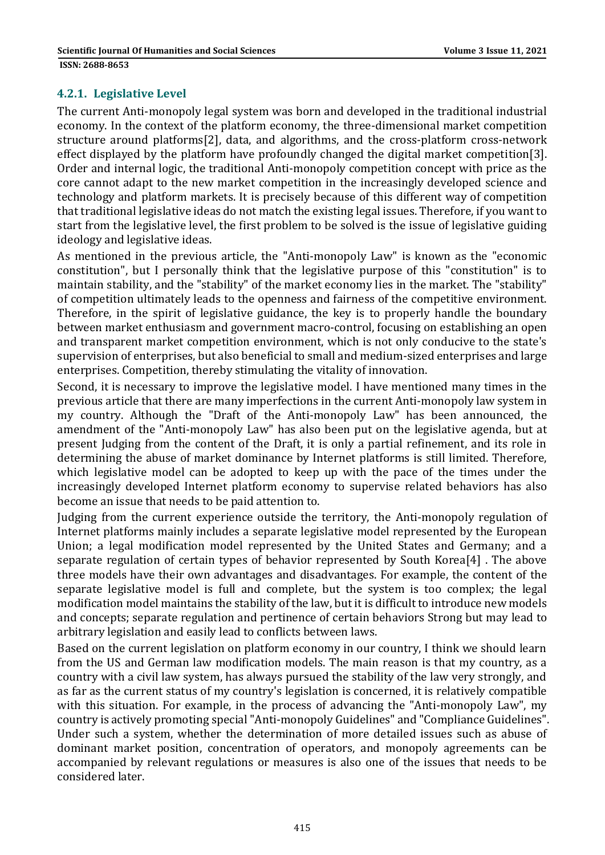#### **4.2.1. Legislative Level**

The current Anti-monopoly legal system was born and developed in the traditional industrial economy. In the context of the platform economy, the three-dimensional market competition structure around platforms[2], data, and algorithms, and the cross-platform cross-network effect displayed by the platform have profoundly changed the digital market competition[3]. Order and internal logic, the traditional Anti-monopoly competition concept with price as the core cannot adapt to the new market competition in the increasingly developed science and technology and platform markets. It is precisely because of this different way of competition that traditional legislative ideas do not match the existing legal issues. Therefore, if you want to start from the legislative level, the first problem to be solved is the issue of legislative guiding ideology and legislative ideas.

As mentioned in the previous article, the "Anti-monopoly Law" is known as the "economic constitution", but I personally think that the legislative purpose of this "constitution" is to maintain stability, and the "stability" of the market economy lies in the market. The "stability" of competition ultimately leads to the openness and fairness of the competitive environment. Therefore, in the spirit of legislative guidance, the key is to properly handle the boundary between market enthusiasm and government macro-control, focusing on establishing an open and transparent market competition environment, which is not only conducive to the state's supervision of enterprises, but also beneficial to small and medium-sized enterprises and large enterprises. Competition, thereby stimulating the vitality of innovation.

Second, it is necessary to improve the legislative model. I have mentioned many times in the previous article that there are many imperfections in the current Anti-monopoly law system in my country. Although the "Draft of the Anti-monopoly Law" has been announced, the amendment of the "Anti-monopoly Law" has also been put on the legislative agenda, but at present Judging from the content of the Draft, it is only a partial refinement, and its role in determining the abuse of market dominance by Internet platforms is still limited. Therefore, which legislative model can be adopted to keep up with the pace of the times under the increasingly developed Internet platform economy to supervise related behaviors has also become an issue that needs to be paid attention to.

Judging from the current experience outside the territory, the Anti-monopoly regulation of Internet platforms mainly includes a separate legislative model represented by the European Union; a legal modification model represented by the United States and Germany; and a separate regulation of certain types of behavior represented by South Korea[4] . The above three models have their own advantages and disadvantages. For example, the content of the separate legislative model is full and complete, but the system is too complex; the legal modification model maintains the stability of the law, but it is difficult to introduce new models and concepts; separate regulation and pertinence of certain behaviors Strong but may lead to arbitrary legislation and easily lead to conflicts between laws.

Based on the current legislation on platform economy in our country, I think we should learn from the US and German law modification models. The main reason is that my country, as a country with a civil law system, has always pursued the stability of the law very strongly, and as far as the current status of my country's legislation is concerned, it is relatively compatible with this situation. For example, in the process of advancing the "Anti-monopoly Law", my country is actively promoting special "Anti-monopoly Guidelines" and "Compliance Guidelines". Under such a system, whether the determination of more detailed issues such as abuse of dominant market position, concentration of operators, and monopoly agreements can be accompanied by relevant regulations or measures is also one of the issues that needs to be considered later.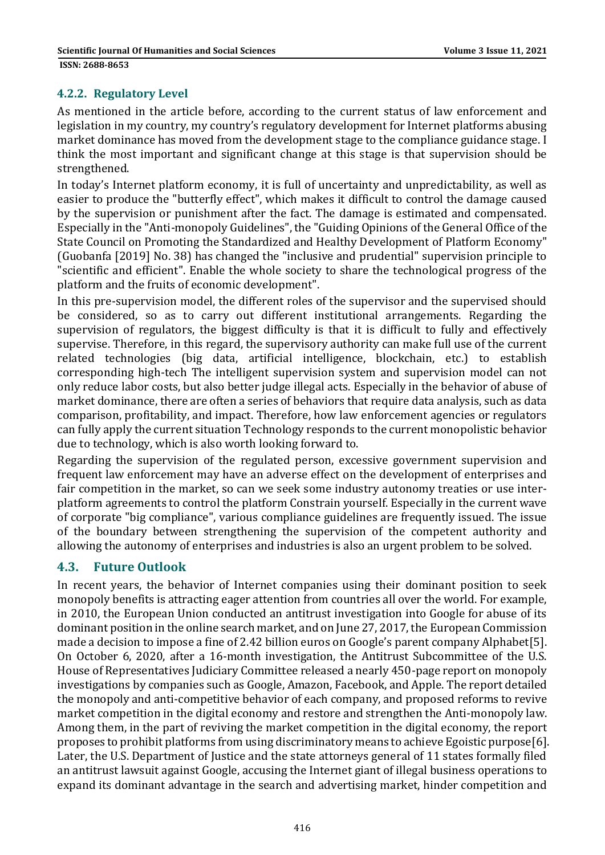#### **4.2.2. Regulatory Level**

As mentioned in the article before, according to the current status of law enforcement and legislation in my country, my country's regulatory development for Internet platforms abusing market dominance has moved from the development stage to the compliance guidance stage. I think the most important and significant change at this stage is that supervision should be strengthened.

In today's Internet platform economy, it is full of uncertainty and unpredictability, as well as easier to produce the "butterfly effect", which makes it difficult to control the damage caused by the supervision or punishment after the fact. The damage is estimated and compensated. Especially in the "Anti-monopoly Guidelines", the "Guiding Opinions of the General Office of the State Council on Promoting the Standardized and Healthy Development of Platform Economy" (Guobanfa [2019] No. 38) has changed the "inclusive and prudential" supervision principle to "scientific and efficient". Enable the whole society to share the technological progress of the platform and the fruits of economic development".

In this pre-supervision model, the different roles of the supervisor and the supervised should be considered, so as to carry out different institutional arrangements. Regarding the supervision of regulators, the biggest difficulty is that it is difficult to fully and effectively supervise. Therefore, in this regard, the supervisory authority can make full use of the current related technologies (big data, artificial intelligence, blockchain, etc.) to establish corresponding high-tech The intelligent supervision system and supervision model can not only reduce labor costs, but also better judge illegal acts. Especially in the behavior of abuse of market dominance, there are often a series of behaviors that require data analysis, such as data comparison, profitability, and impact. Therefore, how law enforcement agencies or regulators can fully apply the current situation Technology responds to the current monopolistic behavior due to technology, which is also worth looking forward to.

Regarding the supervision of the regulated person, excessive government supervision and frequent law enforcement may have an adverse effect on the development of enterprises and fair competition in the market, so can we seek some industry autonomy treaties or use interplatform agreements to control the platform Constrain yourself. Especially in the current wave of corporate "big compliance", various compliance guidelines are frequently issued. The issue of the boundary between strengthening the supervision of the competent authority and allowing the autonomy of enterprises and industries is also an urgent problem to be solved.

#### **4.3. Future Outlook**

In recent years, the behavior of Internet companies using their dominant position to seek monopoly benefits is attracting eager attention from countries all over the world. For example, in 2010, the European Union conducted an antitrust investigation into Google for abuse of its dominant position in the online search market, and on June 27, 2017, the European Commission made a decision to impose a fine of 2.42 billion euros on Google's parent company Alphabet[5]. On October 6, 2020, after a 16-month investigation, the Antitrust Subcommittee of the U.S. House of Representatives Judiciary Committee released a nearly 450-page report on monopoly investigations by companies such as Google, Amazon, Facebook, and Apple. The report detailed the monopoly and anti-competitive behavior of each company, and proposed reforms to revive market competition in the digital economy and restore and strengthen the Anti-monopoly law. Among them, in the part of reviving the market competition in the digital economy, the report proposes to prohibit platforms from using discriminatory means to achieve Egoistic purpose[6]. Later, the U.S. Department of Justice and the state attorneys general of 11 states formally filed an antitrust lawsuit against Google, accusing the Internet giant of illegal business operations to expand its dominant advantage in the search and advertising market, hinder competition and